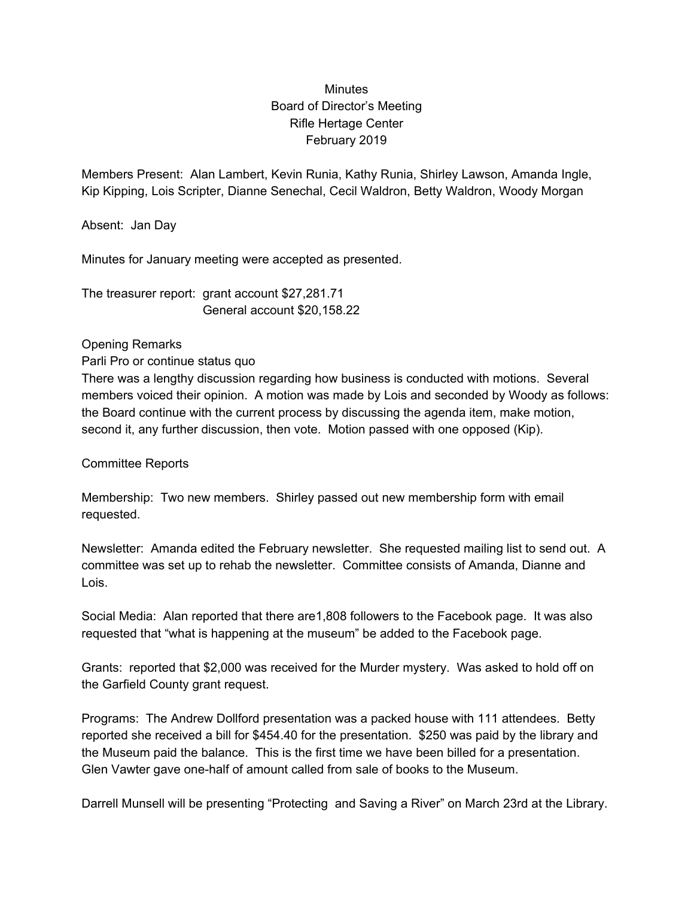## Minutes Board of Director's Meeting Rifle Hertage Center February 2019

Members Present: Alan Lambert, Kevin Runia, Kathy Runia, Shirley Lawson, Amanda Ingle, Kip Kipping, Lois Scripter, Dianne Senechal, Cecil Waldron, Betty Waldron, Woody Morgan

Absent: Jan Day

Minutes for January meeting were accepted as presented.

The treasurer report: grant account \$27,281.71 General account \$20,158.22

## Opening Remarks

Parli Pro or continue status quo

There was a lengthy discussion regarding how business is conducted with motions. Several members voiced their opinion. A motion was made by Lois and seconded by Woody as follows: the Board continue with the current process by discussing the agenda item, make motion, second it, any further discussion, then vote. Motion passed with one opposed (Kip).

Committee Reports

Membership: Two new members. Shirley passed out new membership form with email requested.

Newsletter: Amanda edited the February newsletter. She requested mailing list to send out. A committee was set up to rehab the newsletter. Committee consists of Amanda, Dianne and Lois.

Social Media: Alan reported that there are1,808 followers to the Facebook page. It was also requested that "what is happening at the museum" be added to the Facebook page.

Grants: reported that \$2,000 was received for the Murder mystery. Was asked to hold off on the Garfield County grant request.

Programs: The Andrew Dollford presentation was a packed house with 111 attendees. Betty reported she received a bill for \$454.40 for the presentation. \$250 was paid by the library and the Museum paid the balance. This is the first time we have been billed for a presentation. Glen Vawter gave one-half of amount called from sale of books to the Museum.

Darrell Munsell will be presenting "Protecting and Saving a River" on March 23rd at the Library.